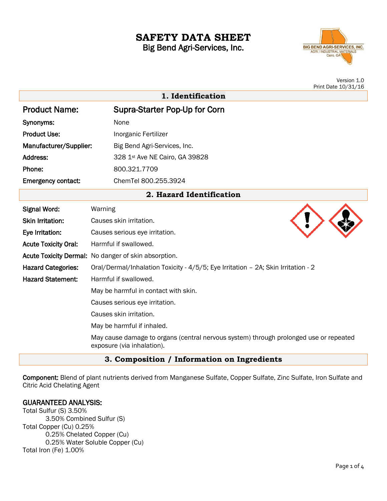# **SAFETY DATA SHEET** Big Bend Agri-Services, Inc.

**BIG BEND AGRI-SERVICES, INC.** AGRI / INDUSTRIAL MATERIALS

> Version 1.0 Print Date 10/31/16

|                             | 1. Identification                                                                                                   |
|-----------------------------|---------------------------------------------------------------------------------------------------------------------|
| <b>Product Name:</b>        | Supra-Starter Pop-Up for Corn                                                                                       |
| Synonyms:                   | None                                                                                                                |
| <b>Product Use:</b>         | Inorganic Fertilizer                                                                                                |
| Manufacturer/Supplier:      | Big Bend Agri-Services, Inc.                                                                                        |
| Address:                    | 328 1st Ave NE Cairo, GA 39828                                                                                      |
| Phone:                      | 800.321.7709                                                                                                        |
| <b>Emergency contact:</b>   | ChemTel 800.255.3924                                                                                                |
|                             | 2. Hazard Identification                                                                                            |
| <b>Signal Word:</b>         | Warning                                                                                                             |
| <b>Skin Irritation:</b>     | Causes skin irritation.                                                                                             |
| Eye Irritation:             | Causes serious eye irritation.                                                                                      |
| <b>Acute Toxicity Oral:</b> | Harmful if swallowed.                                                                                               |
|                             | Acute Toxicity Dermal: No danger of skin absorption.                                                                |
| <b>Hazard Categories:</b>   | Oral/Dermal/Inhalation Toxicity - 4/5/5; Eye Irritation - 2A; Skin Irritation - 2                                   |
| <b>Hazard Statement:</b>    | Harmful if swallowed.                                                                                               |
|                             | May be harmful in contact with skin.                                                                                |
|                             | Causes serious eye irritation.                                                                                      |
|                             | Causes skin irritation.                                                                                             |
|                             | May be harmful if inhaled.                                                                                          |
|                             | May cause damage to organs (central nervous system) through prolonged use or repeated<br>exposure (via inhalation). |

# **3. Composition / Information on Ingredients**

Component: Blend of plant nutrients derived from Manganese Sulfate, Copper Sulfate, Zinc Sulfate, Iron Sulfate and Citric Acid Chelating Agent

# GUARANTEED ANALYSIS:

Total Sulfur (S) 3.50% 3.50% Combined Sulfur (S) Total Copper (Cu) 0.25% 0.25% Chelated Copper (Cu) 0.25% Water Soluble Copper (Cu) Total Iron (Fe) 1.00%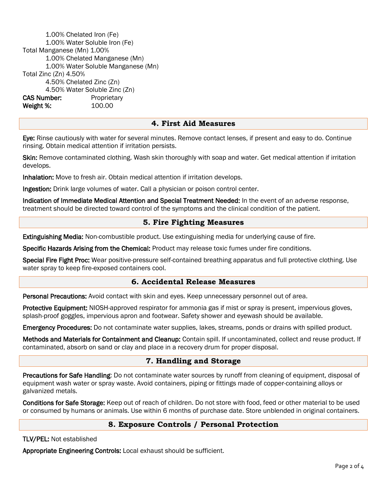1.00% Chelated Iron (Fe) 1.00% Water Soluble Iron (Fe) Total Manganese (Mn) 1.00% 1.00% Chelated Manganese (Mn) 1.00% Water Soluble Manganese (Mn) Total Zinc (Zn) 4.50% 4.50% Chelated Zinc (Zn) 4.50% Water Soluble Zinc (Zn) CAS Number: Proprietary Weight %: 100.00

#### **4. First Aid Measures**

Eye: Rinse cautiously with water for several minutes. Remove contact lenses, if present and easy to do. Continue rinsing. Obtain medical attention if irritation persists.

Skin: Remove contaminated clothing. Wash skin thoroughly with soap and water. Get medical attention if irritation develops.

Inhalation: Move to fresh air. Obtain medical attention if irritation develops.

Ingestion: Drink large volumes of water. Call a physician or poison control center.

Indication of Immediate Medical Attention and Special Treatment Needed: In the event of an adverse response, treatment should be directed toward control of the symptoms and the clinical condition of the patient.

#### **5. Fire Fighting Measures**

Extinguishing Media: Non-combustible product. Use extinguishing media for underlying cause of fire.

Specific Hazards Arising from the Chemical: Product may release toxic fumes under fire conditions.

Special Fire Fight Proc: Wear positive-pressure self-contained breathing apparatus and full protective clothing. Use water spray to keep fire-exposed containers cool.

# **6. Accidental Release Measures**

Personal Precautions: Avoid contact with skin and eyes. Keep unnecessary personnel out of area.

Protective Equipment: NIOSH-approved respirator for ammonia gas if mist or spray is present, impervious gloves, splash-proof goggles, impervious apron and footwear. Safety shower and eyewash should be available.

Emergency Procedures: Do not contaminate water supplies, lakes, streams, ponds or drains with spilled product.

Methods and Materials for Containment and Cleanup: Contain spill. If uncontaminated, collect and reuse product. If contaminated, absorb on sand or clay and place in a recovery drum for proper disposal.

#### **7. Handling and Storage**

Precautions for Safe Handling: Do not contaminate water sources by runoff from cleaning of equipment, disposal of equipment wash water or spray waste. Avoid containers, piping or fittings made of copper-containing alloys or galvanized metals.

Conditions for Safe Storage: Keep out of reach of children. Do not store with food, feed or other material to be used or consumed by humans or animals. Use within 6 months of purchase date. Store unblended in original containers.

#### **8. Exposure Controls / Personal Protection**

TLV/PEL: Not established

Appropriate Engineering Controls: Local exhaust should be sufficient.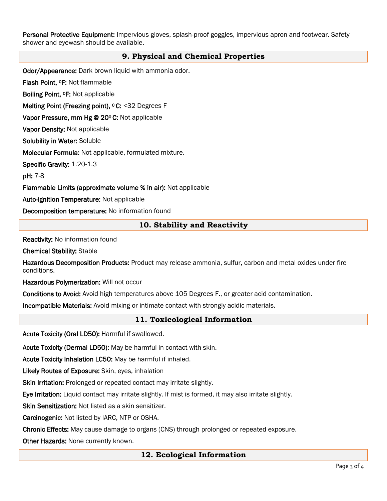Personal Protective Equipment: Impervious gloves, splash-proof goggles, impervious apron and footwear. Safety shower and eyewash should be available.

# **9. Physical and Chemical Properties**

Odor/Appearance: Dark brown liquid with ammonia odor.

Flash Point, 0F: Not flammable

Boiling Point, 0F: Not applicable

Melting Point (Freezing point), <sup>o</sup> C: <32 Degrees F

Vapor Pressure, mm Hg @ 200 C: Not applicable

Vapor Density: Not applicable

Solubility in Water: Soluble

Molecular Formula: Not applicable, formulated mixture.

Specific Gravity: 1.20-1.3

pH: 7-8

Flammable Limits (approximate volume % in air): Not applicable

Auto-ignition Temperature: Not applicable

Decomposition temperature: No information found

# **10. Stability and Reactivity**

Reactivity: No information found

Chemical Stability: Stable

Hazardous Decomposition Products: Product may release ammonia, sulfur, carbon and metal oxides under fire conditions.

Hazardous Polymerization: Will not occur

Conditions to Avoid: Avoid high temperatures above 105 Degrees F., or greater acid contamination.

Incompatible Materials: Avoid mixing or intimate contact with strongly acidic materials.

# **11. Toxicological Information**

Acute Toxicity (Oral LD50): Harmful if swallowed.

Acute Toxicity (Dermal LD50): May be harmful in contact with skin.

Acute Toxicity Inhalation LC50: May be harmful if inhaled.

Likely Routes of Exposure: Skin, eyes, inhalation

Skin Irritation: Prolonged or repeated contact may irritate slightly.

Eye Irritation: Liquid contact may irritate slightly. If mist is formed, it may also irritate slightly.

Skin Sensitization: Not listed as a skin sensitizer.

Carcinogenic: Not listed by IARC, NTP or OSHA.

Chronic Effects: May cause damage to organs (CNS) through prolonged or repeated exposure.

Other Hazards: None currently known.

#### **12. Ecological Information**